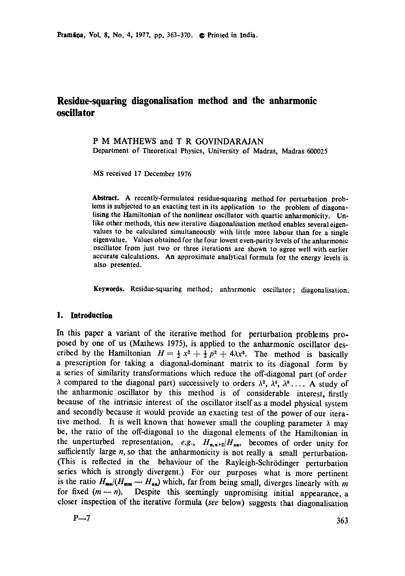## **Residue-squaring diagonalisation method and the anharmonic oscillator**

# P M MATHEWS and T R GOVINDARAJAN

Department of Theoretical Physics, University of Madras, Madras 600025

MS received 17 December 1976

**Abstract.** A recently-formulated residue-squaring method for perturbation problems is subjected to an exacting test in its application to the problem of diagonalising **the** Hamiltonian of the nonlinear oscillator with quartic anharmonicity. Unlike other methods, this new iterative diagonalisation method enables several eigenvalues to be calculated simultaneously with little more labour than for a single eigenvalue. Values obtained for the four lowest even-parity levels of the anharmonic oscillator from just two or three iterations are shown to agree well with earlier accurate calculations. An approximate analytical formula for the energy levels is also presented.

**Keywords.** Residue-squaring method; anharmonic oscillator; diagonalisation.

#### **1. Introduction**

In this paper a variant of the iterative method for perturbation problems proposed by one of us (Mathews 1975), is applied to the anharmonic oscillator described by the Hamiltonian  $H = \frac{1}{2}x^2 + \frac{1}{2}p^2 + 4\lambda x^4$ . The method is basically a prescription for taking a diagonal-dominant matrix to its diagonal form by a series of similarity transformations which reduce the off-diagonal part (of order  $\lambda$  compared to the diagonal part) successively to orders  $\lambda^2$ ,  $\lambda^4$ ,  $\lambda^8$ .... A study of the anharmonic oscillator by this method is of considerable interest, firstly because of the intrinsic interest of the oscillator itself as a model physical system and secondly because it would provide an exacting test of the power of our iterative method. It is well known that however small the coupling parameter  $\lambda$  may be, the ratio of the off-diagonal to the diagonal elements of the Hamiltonian in the unperturbed representation,  $e.g., H_{n,n+2}/H_{nn}$ , becomes of order unity for sufficiently large  $n$ , so that the anharmonicity is not really a small perturbation. (This is reflected in the behaviour of the Rayleigh-Schrödinger perturbation series which is strongly divergent.) For our purposes what is more pertinent is the ratio  $H_{mn}/(H_{mm} \rightarrow H_{nn})$  which, far from being small, diverges linearly with m for fixed  $(m - n)$ . Despite this seemingly unpromising initial appearance, a closer inspection of the iterative formula *(see* below) suggests that diagonalisation

$$
P\rightarrow 7
$$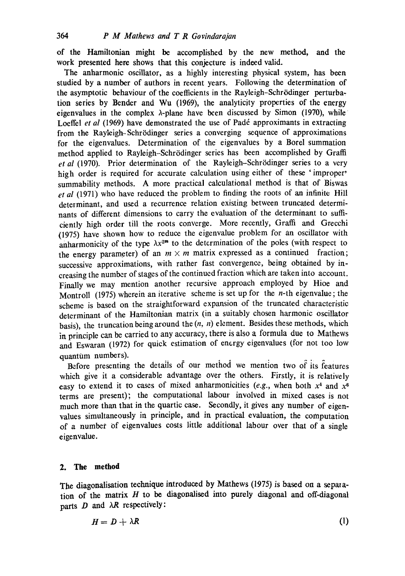of the Hamiltonian might be accomplished by the new method, and the work presented here shows that this conjecture is indeed valid.

The anharmonic oscillator, as a highly interesting physical system, has been studied by a number of authors in recent years. Following the determination of the asymptotic behaviour of the coefficients in the Rayleigh-Schrödinger perturbation series by Bender and Wu (1969), the analyticity properties of the energy eigenvalues in the complex  $\lambda$ -plane have been discussed by Simon (1970), while Loeffel *et al* (1969) have demonstrated the use of Padé approximants in extracting from the Rayleigh-Schrödinger series a converging sequence of approximations **for** the eigenvalues. Determination of the eigenvalues by a Borel summation method applied to Rayleigh-Schrödinger series has been accomplished by Graffi et al (1970). Prior determination of the Rayleigh-Schrödinger series to a very high order is required for accurate calculation using either of these 'improper' summability methods. A more practical calculational method is that of Biswas *et al* (1971) who have reduced the problem to finding the roots of an infinite Hill determinant, and used a recurrence relation existing between truncated determinants of different dimensions to carry the evaluation of the determinant to sufficiently high order till the roots converge. More recently, Graffi and Grecchi (1975) have shown how to reduce the eigenvalue problem for an oscillator with anharmonicity of the type  $\lambda x^{2m}$  to the determination of the poles (with respect to the energy parameter) of an  $m \times m$  matrix expressed as a continued fraction; successive approximations, with rather fast convergence, being obtained by increasing the number of stages of the continued fraction which are taken into account. Finally we may mention another recursive approach employed by Hioe and Montroll (1975) wherein an iterative scheme is set up for the  $n$ -th eigenvalue; the scheme is based on the straightforward expansion of the truncated characteristic determinant of the Hamiltonian matrix (in a suitably chosen harmonic oscillator basis), the truncation being around the  $(n, n)$  element. Besides these methods, which in principle can be carried to any accuracy, there is also a formula due to Mathews and Eswaran (1972) for quick estimation of energy eigenvalues (for not too low quantum numbers).

Before presenting the details of our method we mention two of its features which give it a considerable advantage over the others. Firstly, it is relatively easy to extend it to cases of mixed anharmonicities (e.g., when both  $x^4$  and  $x^6$ ) terms are present); the computational labour involved in mixed cases is not much more than that in the quartic case. Secondly, it gives any number of eigenvalues simultaneously in principle, and in practical evaluation, the computation of a number of eigenvalues costs little additional labour over that of a single eigenvalue.

### **2. The method**

The diagonalisation technique introduced by Mathews (1975) is based on a separation of the matrix  $H$  to be diagonalised into purely diagonal and off-diagonal parts  $D$  and  $\lambda R$  respectively:

$$
H = D + \lambda R \tag{1}
$$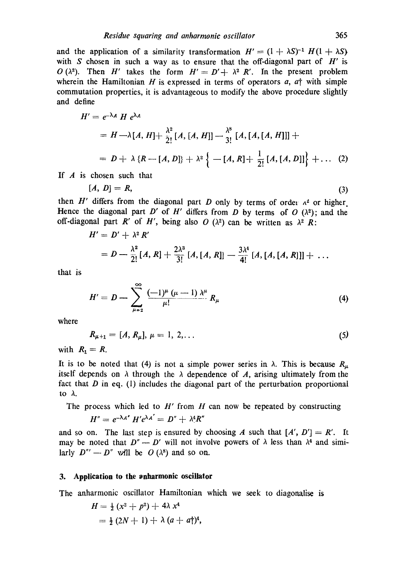and the application of a similarity transformation  $H' = (1 + \lambda S)^{-1} H(1 + \lambda S)$ with S chosen in such a way as to ensure that the off-diagonal part of  $H'$  is O( $\lambda^2$ ). Then H' takes the form  $H' = D' + \lambda^2 R'$ . In the present problem wherein the Hamiltonian H is expressed in terms of operators  $a$ ,  $a<sup>†</sup>$  with simple commutation properties, it is advantageous to modify the above procedure slightly and define

$$
H' = e^{-\lambda A} H e^{\lambda A}
$$
  
=  $H - \lambda [A, H] + \frac{\lambda^2}{2!} [A, [A, H]] - \frac{\lambda^8}{3!} [A, [A, [A, H]]] +$   
=  $D + \lambda \{R - [A, D]\} + \lambda^2 \{ -[A, R] + \frac{1}{2!} [A, [A, D]] \} + ...$  (2)

If  $A$  is chosen such that

$$
[A, D] = R,\tag{3}
$$

then H' differs from the diagonal part D only by terms of order  $\alpha^2$  or higher Hence the diagonal part D' of H' differs from D by terms of  $O(\lambda^2)$ ; and the off-diagonal part R' of H', being also O ( $\lambda^2$ ) can be written as  $\lambda^2$  R:

$$
H' = D' + \lambda^2 R'
$$
  
=  $D - \frac{\lambda^2}{2!} [A, R] + \frac{2\lambda^3}{3!} [A, [A, R]] - \frac{3\lambda^4}{4!} [A, [A, [A, R]]] + ...$ 

that is

$$
H'=D-\sum_{\mu=2}^{\infty}\frac{(-1)^{\mu}(\mu-1)}{\mu!}A^{\mu}_k R_{\mu}
$$
\n(4)

where

$$
R_{\mu+1} = [A, R_{\mu}], \mu = 1, 2, \dots \tag{5}
$$

with  $R_1 = R$ .

It is to be noted that (4) is not a simple power series in  $\lambda$ . This is because  $R_{\mu}$ itself depends on  $\lambda$  through the  $\lambda$  dependence of A, arising ultimately from the fact that  $D$  in eq. (1) includes the diagonal part of the perturbation proportional to  $\lambda$ .

The process which led to  $H'$  from  $H$  can now be repeated by constructing

$$
H''=e^{-\lambda A'} H'e^{\lambda A'}=D''+\lambda^4 R''
$$

and so on. The last step is ensured by choosing A such that  $[A', D'] = R'$ . It may be noted that  $D'' - D'$  will not involve powers of  $\lambda$  less than  $\lambda^4$  and similarly  $D'' - D''$  will be  $O(\lambda^8)$  and so on.

#### **3. Application to the anharmonic oscillator**

The anharmonic oscillator Hamiltonian which we seek to diagonalise is

$$
H = \frac{1}{2} (x^2 + p^2) + 4\lambda x^4
$$
  
=  $\frac{1}{2} (2N + 1) + \lambda (a + a \dagger)^4$ ,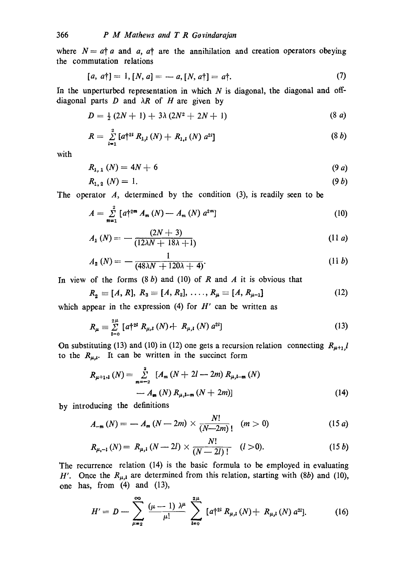where  $N = a^{\dagger} a$  and a,  $a^{\dagger}$  are the annihilation and creation operators obeying the commutation relations

$$
[a, a\dagger] = 1, [N, a] = -a, [N, a\dagger] = a\dagger. \tag{7}
$$

In the unperturbed representation in which  $N$  is diagonal, the diagonal and offdiagonal parts  $D$  and  $\lambda R$  of  $H$  are given by

$$
D = \frac{1}{2} (2N + 1) + 3\lambda (2N^2 + 2N + 1) \tag{8 a}
$$

$$
R = \sum_{i=1}^{2} [a \dagger^{2i} R_{1,i}(N) + R_{1,i}(N) a^{2i}]
$$
 (8 *b*)

with

$$
R_{1, 1} (N) = 4N + 6 \tag{9 a}
$$

$$
R_{1,2} \ (N) = 1. \tag{9 b}
$$

The operator *A*, determined by the condition (3), is readily seen to be

$$
A = \sum_{m=1}^{2} [a \dagger^{2m} A_m(N) - A_m(N) a^{2m}] \tag{10}
$$

$$
A_1(N) = -\frac{(2N+3)}{(12\lambda N + 18\lambda + 1)}
$$
 (11 a)

$$
A_2(N) = -\frac{1}{(48\lambda N + 120\lambda + 4)}.
$$
 (11 b)

In view of the forms  $(8 b)$  and  $(10)$  of R and A it is obvious that

$$
R_2 = [A, R], R_3 = [A, R_2], \dots, R_{\mu} = [A, R_{\mu-1}]
$$
 (12)

which appear in the expression (4) for  $H'$  can be written as

$$
R_{\mu} = \sum_{i=0}^{2^{\mu}} \left[ a \dagger^{2i} R_{\mu,i} \left( N \right) + R_{\mu,i} \left( N \right) a^{2i} \right] \tag{13}
$$

On substituting (13) and (10) in (12) one gets a recursion relation connecting  $R_{\mu+1}$ ,*l* to the  $R_{\mu,i}$ . It can be written in the succinct form

$$
R_{\mu+1,\mathbf{i}}\left(N\right) = \sum_{m=-2}^{2} \left[ A_m\left(N+2l-2m\right) R_{\mu,\mathbf{i}-m}\left(N\right) - A_m\left(N\right) R_{\mu,\mathbf{i}-m}\left(N+2m\right) \right] \tag{14}
$$

by introducing the definitions

$$
A_{-m}(N) = -A_m(N-2m) \times \frac{N!}{(N-2m)!} \quad (m > 0)
$$
 (15 a)

$$
R_{\mu,-l}(N) = R_{\mu,l}(N-2l) \times \frac{N!}{(N-2l)!} \quad (l>0).
$$
 (15 b)

The recurrence relation (14) is the basic formula to be employed in evaluating H'. Once the  $R_{\mu,1}$  are determined from this relation, starting with (8b) and (10), one has, from  $(4)$  and  $(13)$ ,

$$
H' = D - \sum_{\mu=2}^{\infty} \frac{(\mu-1) \lambda^{\mu}}{\mu!} \sum_{l=0}^{2\mu} [a \dagger^{2l} R_{\mu,l}(N) + R_{\mu,l}(N) a^{2l}]. \tag{16}
$$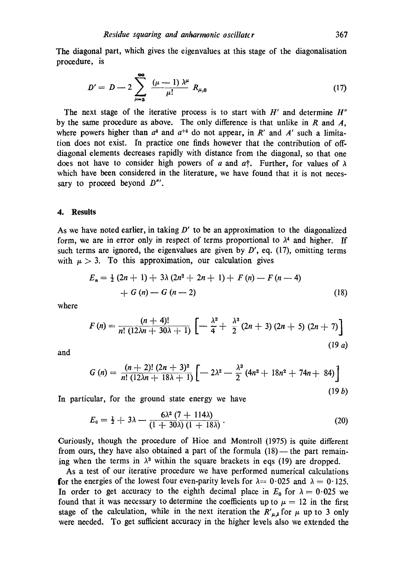The diagonal part, which gives the eigenvalues at this stage of the diagonalisation procedure, is

$$
D' = D - 2 \sum_{\mu=2}^{\infty} \frac{(\mu - 1) \lambda^{\mu}}{\mu!} R_{\mu,0}
$$
 (17)

The next stage of the iterative process is to start with H' and determine *H"*  by the same procedure as above. The only difference is that unlike in  $R$  and  $A$ , where powers higher than  $a<sup>4</sup>$  and  $a<sup>+4</sup>$  do not appear, in R' and A' such a limitation does not exist. In practice one finds however that the contribution of offdiagonal elements decreases rapidly with distance from the diagonal, so that one does not have to consider high powers of a and a<sup>†</sup>. Further, for values of  $\lambda$ which have been considered in the literature, we have found that it is not necessary to proceed beyond *D"'.* 

#### **4. Results**

As we have noted earlier, in taking  $D'$  to be an approximation to the diagonalized form, we are in error only in respect of terms proportional to  $\lambda^4$  and higher. If such terms are ignored, the eigenvalues are given by  $D'$ , eq. (17), omitting terms with  $\mu > 3$ . To this approximation, our calculation gives

$$
E_n = \frac{1}{2} (2n + 1) + 3\lambda (2n^2 + 2n + 1) + F(n) - F(n - 4)
$$
  
+ G(n) - G(n - 2) \t(18)

where

$$
F(n) = \frac{(n+4)!}{n! (12\lambda n + 30\lambda + 1)} \left[ -\frac{\lambda^2}{4} + \frac{\lambda^3}{2} (2n+3) (2n+5) (2n+7) \right]
$$
\n(19 a)

and

$$
G(n) = \frac{(n+2)!(2n+3)^2}{n!(12\lambda n+18\lambda+1)} \left[ -2\lambda^2 - \frac{\lambda^3}{2} (4n^3+18n^2+74n+84) \right]
$$
\n(19 b)

In particular, for the ground state energy we have

$$
E_0 = \frac{1}{2} + 3\lambda - \frac{6\lambda^2 (7 + 114\lambda)}{(1 + 30\lambda)(1 + 18\lambda)}.
$$
 (20)

Curiously, though the procedure of Hioe and Montroll (1975) is quite different from ours, they have also obtained a part of the formula  $(18)$ — the part remaining when the terms in  $\lambda^3$  within the square brackets in eqs (19) are dropped.

As a test of our iterative procedure we have performed numerical calculations for the energies of the lowest four even-parity levels for  $\lambda = 0.025$  and  $\lambda = 0.125$ . In order to get accuracy to the eighth decimal place in  $E_0$  for  $\lambda = 0.025$  we found that it was necessary to determine the coefficients up to  $\mu = 12$  in the first stage of the calculation, while in the next iteration the  $R'_{\mu,\mathbf{i}}$  for  $\mu$  up to 3 only were needed. To get sufficient accuracy in the higher levels also we extended the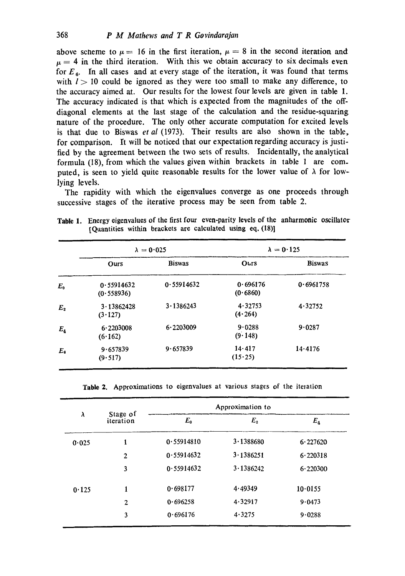above scheme to  $\mu = 16$  in the first iteration,  $\mu = 8$  in the second iteration and  $\mu = 4$  in the third iteration. With this we obtain accuracy to six decimals even for  $E_6$ . In all cases and at every stage of the iteration, it was found that terms with  $l > 10$  could be ignored as they were too small to make any difference, to the accuracy aimed at. Our results for the lowest four levels are given in table 1. The accuracy indicated is that which is expected from the magnitudes of the offdiagonal elements at the last stage of the calculation and the residue-squaring nature of the procedure. The only other accurate computation for excited levels is that due to Biswas *et al* (1973). Their results are also shown in the table, for comparison. It will be noticed that our expectation regarding accuracy is justified by the agreement between the two sets of results. Incidentally, the analytical formula (18), from which the values given within brackets in table 1 are computed, is seen to yield quite reasonable results for the lower value of  $\lambda$  for lowlying levels.

The rapidity with which the eigenvalues converge as one proceeds through successive stages of the iterative process may be seen from table 2.

|             | $\lambda = 0.025$        |               | $\lambda = 0.125$    |               |
|-------------|--------------------------|---------------|----------------------|---------------|
|             | Ours                     | <b>Biswas</b> | Ours                 | <b>Biswas</b> |
| $E_{0}$     | 0.55914632<br>(0.558936) | 0.55914632    | 0.696176<br>(0.6860) | 0.6961758     |
| $E_{2}$     | 3.13862428<br>(3.127)    | 3.1386243     | 4.32753<br>(4.264)   | 4.32752       |
| $E_{4}$     | 6.2203008<br>(6.162)     | 6.2203009     | 9.0288<br>(9.148)    | 9.0287        |
| $E_{\rm e}$ | 9.657839<br>(9.517)      | 9.657839      | 14.417<br>(15.25)    | 14.4176       |

Table 1. Energy eigenvalues of the first four even-parity levels of the anharmonic oscillator  $[Quantities within brackets are calculated using eq.  $(18)$ ]$ 

Table 2. Approximations to eigenvalues at various stages of the iteration

|       | Stage of<br>iteration | Approximation to |           |          |
|-------|-----------------------|------------------|-----------|----------|
| λ     |                       | $E_0$            | $E_{2}$   | $E_4$    |
| 0.025 | ı                     | 0.55914810       | 3.1388680 | 6.227620 |
|       | $\overline{2}$        | 0.55914632       | 3.1386251 | 6.220318 |
|       | 3                     | 0.55914632       | 3.1386242 | 6.220300 |
| 0.125 | 1                     | 0.698177         | 4.49349   | 10.0155  |
|       | 2                     | 0.696258         | 4.32917   | 9.0473   |
|       | 3                     | 0.696176         | 4.3275    | 9.0288   |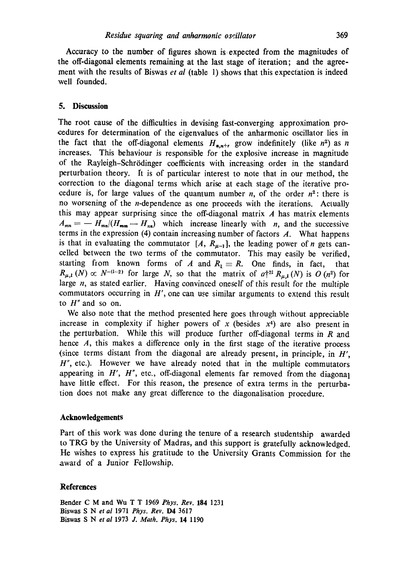Accuracy to the number of figures shown is expected from the magnitudes of the off-diagonal elements remaining at the last stage of iteration; and the agreement with the results of Biswas *et al* (table 1) shows that this expectation is indeed well founded.

#### **5. Discussion**

The root cause of the difficulties in devising fast-converging approximation procedures for determination of the eigenvalues of the anharmonic oscillator lies in the fact that the off-diagonal elements  $H_{n,n+r}$  grow indefinitely (like  $n^2$ ) as n increases. This behaviour is responsible for the explosive increase in magnitude of the Rayleigh-Schr6dinger coefficients with increasing order in the standard perturbation theory. It is of particular interest to note that in our method, the correction to the diagonal terms which arise at each stage of the iterative procedure is, for large values of the quantum number n, of the order  $n^2$ : there is no worsening of the n-dependence as one proceeds with the iterations. Actually this may appear surprising since the off-diagonal matrix  $A$  has matrix elements  $A_{mn} = - H_{mn}/(H_{mn} - H_{nn})$  which increase linearly with n, and the successive terms in the expression (4) contain increasing number of factors  $A$ . What happens is that in evaluating the commutator  $[A, R_{\mu-1}]$ , the leading power of *n* gets cancelled between the two terms of the commutator. This may easily be verified, starting from known forms of A and  $R_1 \equiv R$ . One finds, in fact, that  $R_{\mu,\mathbf{l}}(N) \propto N^{-(l-2)}$  for large N, so that the matrix of  $a\uparrow^{2l} R_{\mu,\mathbf{l}}(N)$  is O (n<sup>2</sup>) for large n, as stated earlier. Having convinced oneself of this result for the multiple commutators occurring in  $H'$ , one can use similar arguments to extend this result to  $H''$  and so on.

We also note that the method presented here goes through without appreciable increase in complexity if higher powers of x (besides  $x<sup>4</sup>$ ) are also present in the perturbation. While this will produce further off-diagonal terms in  $R$  and hence A, this makes a difference only in the first stage of the iterative process (since terms distant from the diagonal are already present, in principle, in H',  $H''$ , etc.). However we have already noted that in the multiple commutators appearing in  $H'$ ,  $H''$ , etc., off-diagonal elements far removed from the diagonal have little effect. For this reason, the presence of extra terms in the perturbation does not make any great difference to the diagonalisation procedure.

#### **Acknowledgements**

Part of this work was done during the tenure of a research studentship awarded to TRG by the University of Madras, and this support is gratefully acknowledged. He wishes to express his gratitude to the University Grants Commission for the award of a Junior Fellowship.

#### **References**

Bender C M and Wu T T 1969 *Phys. Rev.* 184 1231 Biswas S Net *al* 1971 *Phys. Rev.* D4 3617 Biswas S Net *al* 1973 *J. Math. Phys.* 14 1190